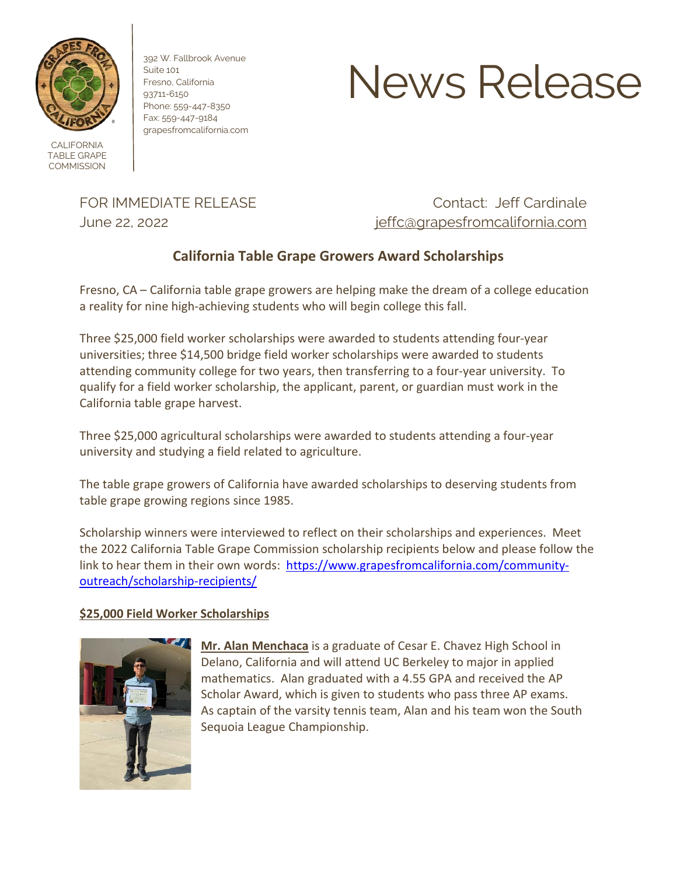

CALIFORNIA TABLE GRAPE **COMMISSION** 

392 W. Fallbrook Avenue Suite 101 Fresno, California 93711-6150 Phone: 559-447-8350 Fax: 559-447-9184 grapesfromcalifornia.com

# News Release

FOR IMMEDIATE RELEASE CONTACTE CONTACTE CONTACTERS CONTACTE CONTACTE CONTACTE OF CONTACTE OF CONTACTE OF CONTACTE OF CONTACTE OF CONTACTE OF CONTACTE OF CONTACTE OF CONTACTE OF CONTACTE OF CONTACTE OF CONTACTE OF CONTACTE June 22, 2022 [jeffc@grapesfromcalifornia.com](file://Server/data/News%20Releases/2021%20News%20Releases/Drafts/jeffc@grapesfromcalifornia.com)

## **California Table Grape Growers Award Scholarships**

Fresno, CA – California table grape growers are helping make the dream of a college education a reality for nine high-achieving students who will begin college this fall.

Three \$25,000 field worker scholarships were awarded to students attending four-year universities; three \$14,500 bridge field worker scholarships were awarded to students attending community college for two years, then transferring to a four-year university. To qualify for a field worker scholarship, the applicant, parent, or guardian must work in the California table grape harvest.

Three \$25,000 agricultural scholarships were awarded to students attending a four-year university and studying a field related to agriculture.

The table grape growers of California have awarded scholarships to deserving students from table grape growing regions since 1985.

Scholarship winners were interviewed to reflect on their scholarships and experiences. Meet the 2022 California Table Grape Commission scholarship recipients below and please follow the link to hear them in their own words: [https://www.grapesfromcalifornia.com/community](https://www.grapesfromcalifornia.com/community-outreach/scholarship-recipients/)[outreach/scholarship-recipients/](https://www.grapesfromcalifornia.com/community-outreach/scholarship-recipients/)

### **\$25,000 Field Worker Scholarships**



**Mr. Alan Menchaca** is a graduate of Cesar E. Chavez High School in Delano, California and will attend UC Berkeley to major in applied mathematics. Alan graduated with a 4.55 GPA and received the AP Scholar Award, which is given to students who pass three AP exams. As captain of the varsity tennis team, Alan and his team won the South Sequoia League Championship.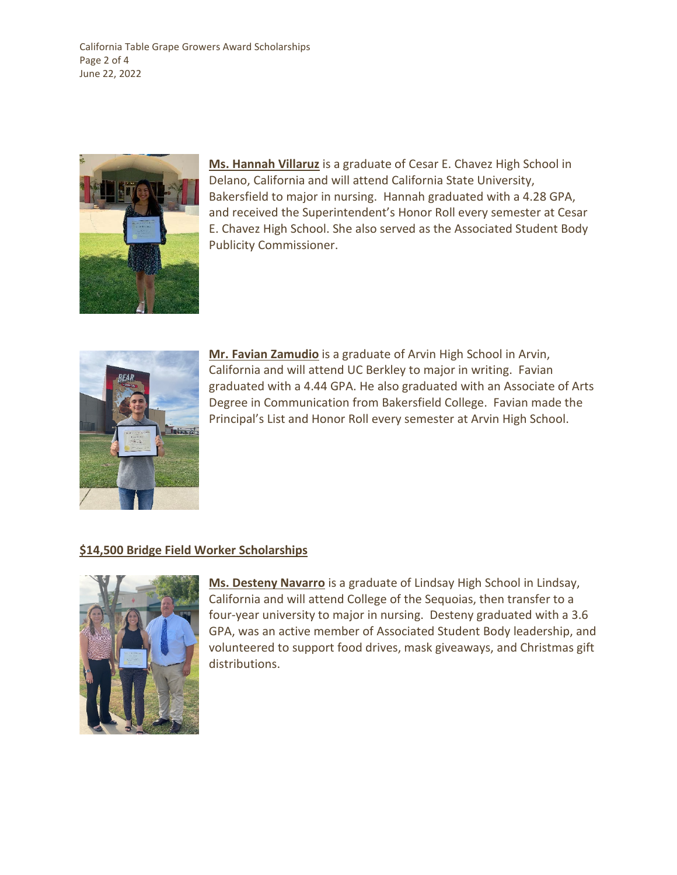California Table Grape Growers Award Scholarships Page 2 of 4 June 22, 2022



**Ms. Hannah Villaruz** is a graduate of Cesar E. Chavez High School in Delano, California and will attend California State University, Bakersfield to major in nursing. Hannah graduated with a 4.28 GPA, and received the Superintendent's Honor Roll every semester at Cesar E. Chavez High School. She also served as the Associated Student Body Publicity Commissioner.



**Mr. Favian Zamudio** is a graduate of Arvin High School in Arvin, California and will attend UC Berkley to major in writing. Favian graduated with a 4.44 GPA. He also graduated with an Associate of Arts Degree in Communication from Bakersfield College. Favian made the Principal's List and Honor Roll every semester at Arvin High School.

### **\$14,500 Bridge Field Worker Scholarships**



**Ms. Desteny Navarro** is a graduate of Lindsay High School in Lindsay, California and will attend College of the Sequoias, then transfer to a four-year university to major in nursing. Desteny graduated with a 3.6 GPA, was an active member of Associated Student Body leadership, and volunteered to support food drives, mask giveaways, and Christmas gift distributions.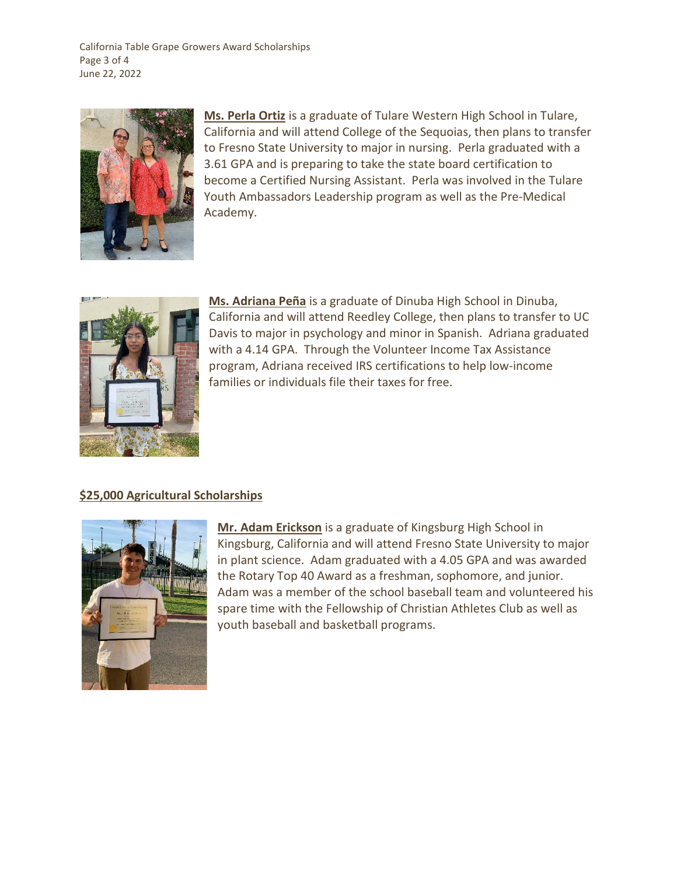California Table Grape Growers Award Scholarships Page 3 of 4 June 22, 2022



**Ms. Perla Ortiz** is a graduate of Tulare Western High School in Tulare, California and will attend College of the Sequoias, then plans to transfer to Fresno State University to major in nursing. Perla graduated with a 3.61 GPA and is preparing to take the state board certification to become a Certified Nursing Assistant. Perla was involved in the Tulare Youth Ambassadors Leadership program as well as the Pre-Medical Academy.



**Ms. Adriana Peña** is a graduate of Dinuba High School in Dinuba, California and will attend Reedley College, then plans to transfer to UC Davis to major in psychology and minor in Spanish. Adriana graduated with a 4.14 GPA. Through the Volunteer Income Tax Assistance program, Adriana received IRS certifications to help low-income families or individuals file their taxes for free.

#### **\$25,000 Agricultural Scholarships**



**Mr. Adam Erickson** is a graduate of Kingsburg High School in Kingsburg, California and will attend Fresno State University to major in plant science. Adam graduated with a 4.05 GPA and was awarded the Rotary Top 40 Award as a freshman, sophomore, and junior. Adam was a member of the school baseball team and volunteered his spare time with the Fellowship of Christian Athletes Club as well as youth baseball and basketball programs.